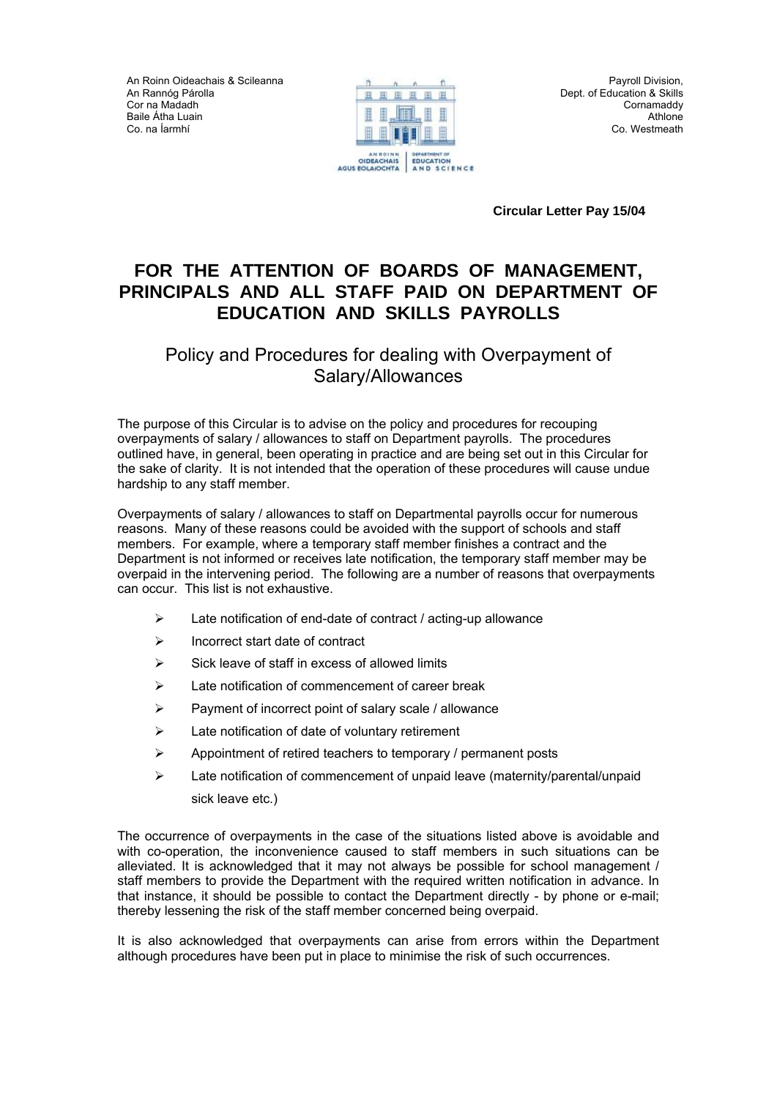An Roinn Oideachais & Scileanna An Rannόg Párolla Cor na Madadh Baile Átha Luain Co. na Íarmhí



 **Circular Letter Pay 15/04** 

# **FOR THE ATTENTION OF BOARDS OF MANAGEMENT, PRINCIPALS AND ALL STAFF PAID ON DEPARTMENT OF EDUCATION AND SKILLS PAYROLLS**

## Policy and Procedures for dealing with Overpayment of Salary/Allowances

The purpose of this Circular is to advise on the policy and procedures for recouping overpayments of salary / allowances to staff on Department payrolls. The procedures outlined have, in general, been operating in practice and are being set out in this Circular for the sake of clarity. It is not intended that the operation of these procedures will cause undue hardship to any staff member.

Overpayments of salary / allowances to staff on Departmental payrolls occur for numerous reasons. Many of these reasons could be avoided with the support of schools and staff members. For example, where a temporary staff member finishes a contract and the Department is not informed or receives late notification, the temporary staff member may be overpaid in the intervening period. The following are a number of reasons that overpayments can occur. This list is not exhaustive.

- $\triangleright$  Late notification of end-date of contract / acting-up allowance
- $\triangleright$  Incorrect start date of contract
- $\triangleright$  Sick leave of staff in excess of allowed limits
- ¾ Late notification of commencement of career break
- $\triangleright$  Payment of incorrect point of salary scale / allowance
- ¾ Late notification of date of voluntary retirement
- $\triangleright$  Appointment of retired teachers to temporary / permanent posts
- ¾ Late notification of commencement of unpaid leave (maternity/parental/unpaid sick leave etc.)

The occurrence of overpayments in the case of the situations listed above is avoidable and with co-operation, the inconvenience caused to staff members in such situations can be alleviated. It is acknowledged that it may not always be possible for school management / staff members to provide the Department with the required written notification in advance. In that instance, it should be possible to contact the Department directly - by phone or e-mail; thereby lessening the risk of the staff member concerned being overpaid.

It is also acknowledged that overpayments can arise from errors within the Department although procedures have been put in place to minimise the risk of such occurrences.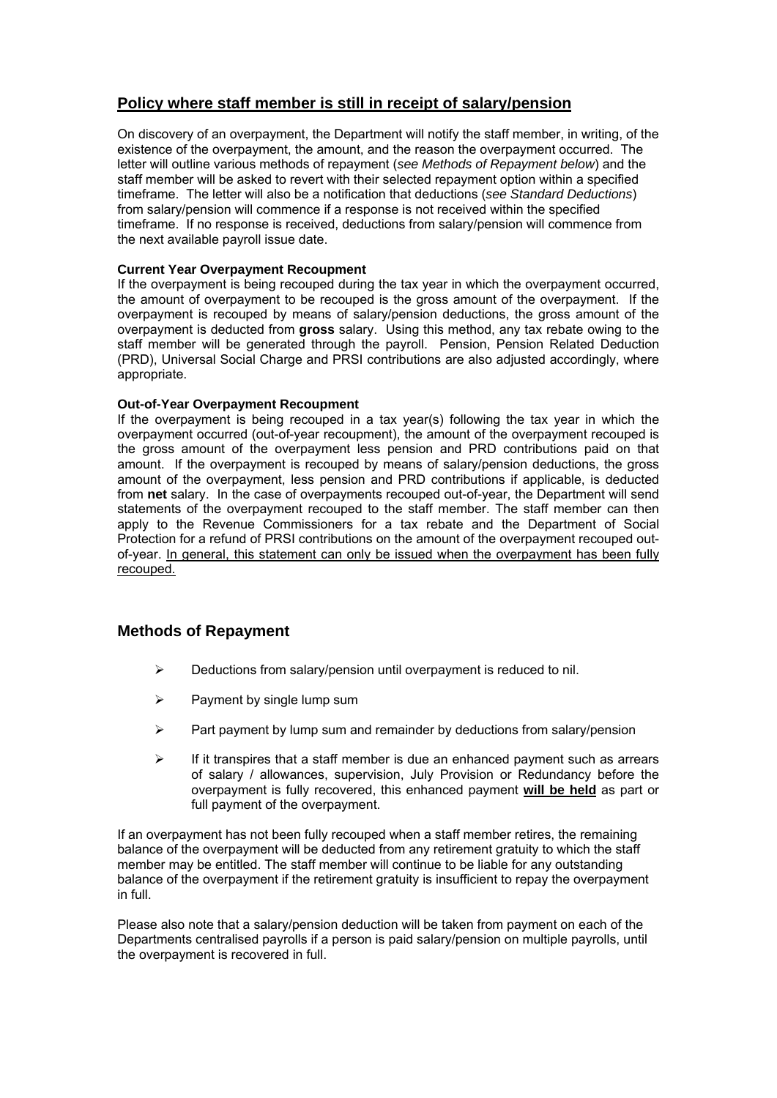### **Policy where staff member is still in receipt of salary/pension**

On discovery of an overpayment, the Department will notify the staff member, in writing, of the existence of the overpayment, the amount, and the reason the overpayment occurred. The letter will outline various methods of repayment (*see Methods of Repayment below*) and the staff member will be asked to revert with their selected repayment option within a specified timeframe. The letter will also be a notification that deductions (*see Standard Deductions*) from salary/pension will commence if a response is not received within the specified timeframe. If no response is received, deductions from salary/pension will commence from the next available payroll issue date.

#### **Current Year Overpayment Recoupment**

If the overpayment is being recouped during the tax year in which the overpayment occurred, the amount of overpayment to be recouped is the gross amount of the overpayment. If the overpayment is recouped by means of salary/pension deductions, the gross amount of the overpayment is deducted from **gross** salary. Using this method, any tax rebate owing to the staff member will be generated through the payroll. Pension, Pension Related Deduction (PRD), Universal Social Charge and PRSI contributions are also adjusted accordingly, where appropriate.

#### **Out-of-Year Overpayment Recoupment**

If the overpayment is being recouped in a tax year(s) following the tax year in which the overpayment occurred (out-of-year recoupment), the amount of the overpayment recouped is the gross amount of the overpayment less pension and PRD contributions paid on that amount. If the overpayment is recouped by means of salary/pension deductions, the gross amount of the overpayment, less pension and PRD contributions if applicable, is deducted from **net** salary. In the case of overpayments recouped out-of-year, the Department will send statements of the overpayment recouped to the staff member. The staff member can then apply to the Revenue Commissioners for a tax rebate and the Department of Social Protection for a refund of PRSI contributions on the amount of the overpayment recouped outof-year. In general, this statement can only be issued when the overpayment has been fully recouped.

### **Methods of Repayment**

- $\triangleright$  Deductions from salary/pension until overpayment is reduced to nil.
- $\triangleright$  Payment by single lump sum
- $\triangleright$  Part payment by lump sum and remainder by deductions from salary/pension
- $\triangleright$  If it transpires that a staff member is due an enhanced payment such as arrears of salary / allowances, supervision, July Provision or Redundancy before the overpayment is fully recovered, this enhanced payment **will be held** as part or full payment of the overpayment.

If an overpayment has not been fully recouped when a staff member retires, the remaining balance of the overpayment will be deducted from any retirement gratuity to which the staff member may be entitled. The staff member will continue to be liable for any outstanding balance of the overpayment if the retirement gratuity is insufficient to repay the overpayment in full.

Please also note that a salary/pension deduction will be taken from payment on each of the Departments centralised payrolls if a person is paid salary/pension on multiple payrolls, until the overpayment is recovered in full.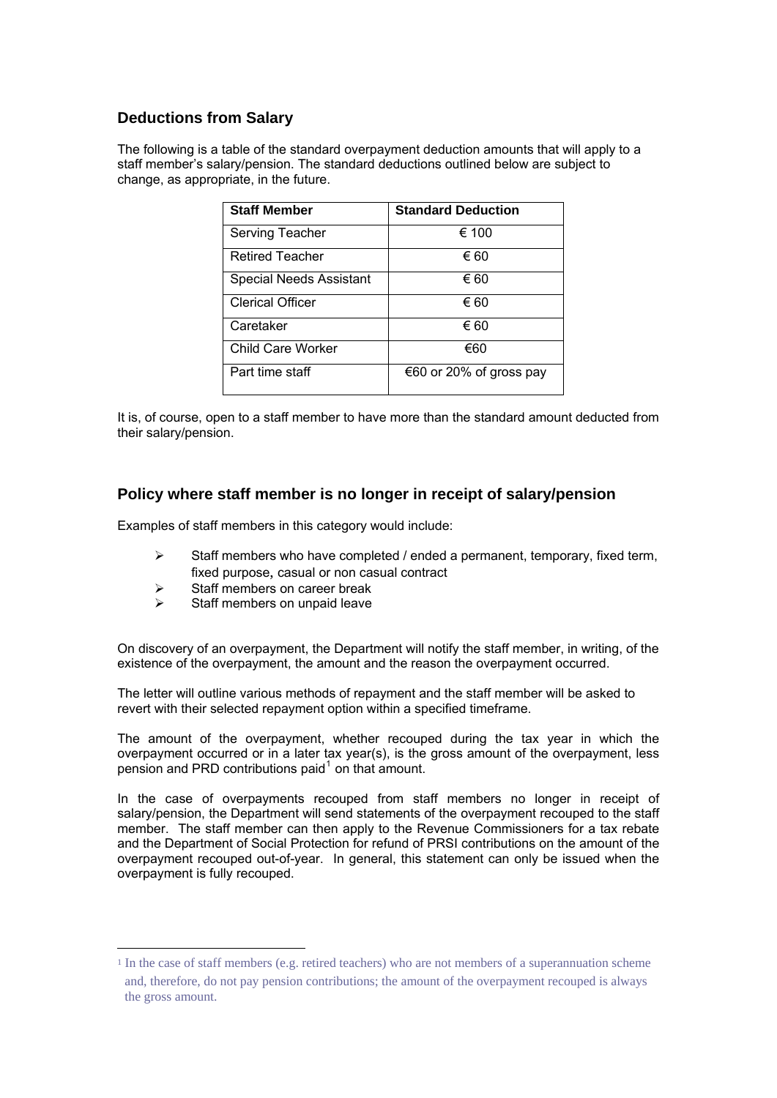## **Deductions from Salary**

The following is a table of the standard overpayment deduction amounts that will apply to a staff member's salary/pension. The standard deductions outlined below are subject to change, as appropriate, in the future.

| <b>Staff Member</b>            | <b>Standard Deduction</b> |
|--------------------------------|---------------------------|
| Serving Teacher                | € 100                     |
| <b>Retired Teacher</b>         | € 60                      |
| <b>Special Needs Assistant</b> | € 60                      |
| <b>Clerical Officer</b>        | € 60                      |
| Caretaker                      | € 60                      |
| Child Care Worker              | €60                       |
| Part time staff                | €60 or 20% of gross pay   |

It is, of course, open to a staff member to have more than the standard amount deducted from their salary/pension.

#### **Policy where staff member is no longer in receipt of salary/pension**

Examples of staff members in this category would include:

- $\triangleright$  Staff members who have completed / ended a permanent, temporary, fixed term, fixed purpose, casual or non casual contract
- $\triangleright$  Staff members on career break
- $\triangleright$  Staff members on unpaid leave

1

On discovery of an overpayment, the Department will notify the staff member, in writing, of the existence of the overpayment, the amount and the reason the overpayment occurred.

The letter will outline various methods of repayment and the staff member will be asked to revert with their selected repayment option within a specified timeframe.

The amount of the overpayment, whether recouped during the tax year in which the overpayment occurred or in a later tax year(s), is the gross amount of the overpayment, less pension and PRD contributions paid $<sup>1</sup>$  $<sup>1</sup>$  $<sup>1</sup>$  on that amount.</sup>

In the case of overpayments recouped from staff members no longer in receipt of salary/pension, the Department will send statements of the overpayment recouped to the staff member. The staff member can then apply to the Revenue Commissioners for a tax rebate and the Department of Social Protection for refund of PRSI contributions on the amount of the overpayment recouped out-of-year. In general, this statement can only be issued when the overpayment is fully recouped.

<span id="page-2-0"></span><sup>1</sup> In the case of staff members (e.g. retired teachers) who are not members of a superannuation scheme and, therefore, do not pay pension contributions; the amount of the overpayment recouped is always the gross amount.